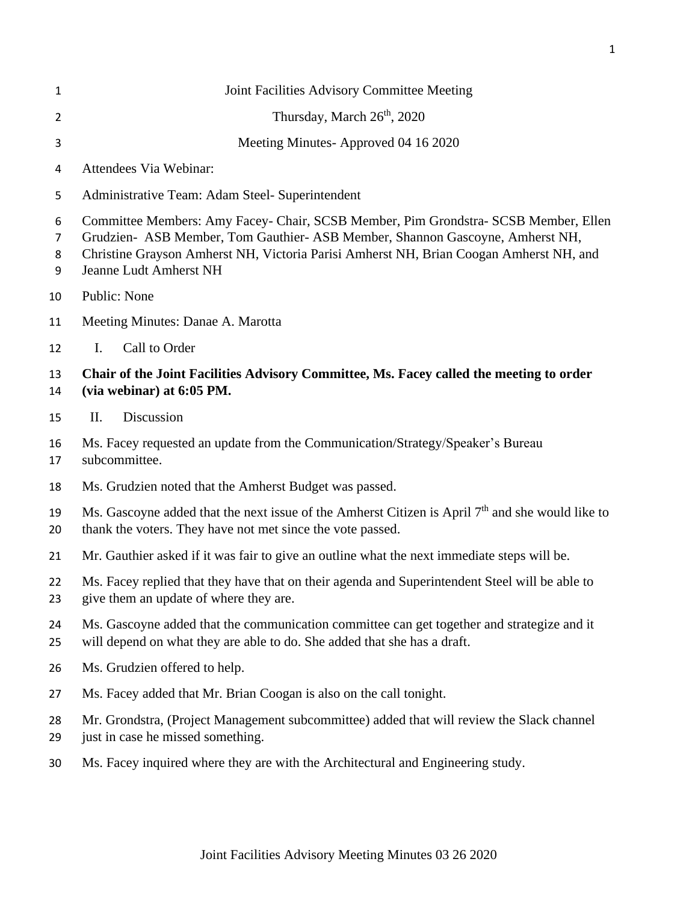| 1                | Joint Facilities Advisory Committee Meeting                                                                                                                                                                                                                                              |
|------------------|------------------------------------------------------------------------------------------------------------------------------------------------------------------------------------------------------------------------------------------------------------------------------------------|
| 2                | Thursday, March 26 <sup>th</sup> , 2020                                                                                                                                                                                                                                                  |
| 3                | Meeting Minutes-Approved 04 16 2020                                                                                                                                                                                                                                                      |
| 4                | Attendees Via Webinar:                                                                                                                                                                                                                                                                   |
| 5                | Administrative Team: Adam Steel- Superintendent                                                                                                                                                                                                                                          |
| 6<br>7<br>8<br>9 | Committee Members: Amy Facey- Chair, SCSB Member, Pim Grondstra- SCSB Member, Ellen<br>Grudzien- ASB Member, Tom Gauthier- ASB Member, Shannon Gascoyne, Amherst NH,<br>Christine Grayson Amherst NH, Victoria Parisi Amherst NH, Brian Coogan Amherst NH, and<br>Jeanne Ludt Amherst NH |
| 10               | Public: None                                                                                                                                                                                                                                                                             |
| 11               | Meeting Minutes: Danae A. Marotta                                                                                                                                                                                                                                                        |
| 12               | Call to Order<br>I.                                                                                                                                                                                                                                                                      |
| 13<br>14         | Chair of the Joint Facilities Advisory Committee, Ms. Facey called the meeting to order<br>(via webinar) at 6:05 PM.                                                                                                                                                                     |
| 15               | Discussion<br>II.                                                                                                                                                                                                                                                                        |
| 16<br>17         | Ms. Facey requested an update from the Communication/Strategy/Speaker's Bureau<br>subcommittee.                                                                                                                                                                                          |
| 18               | Ms. Grudzien noted that the Amherst Budget was passed.                                                                                                                                                                                                                                   |
| 19<br>20         | Ms. Gascoyne added that the next issue of the Amherst Citizen is April 7 <sup>th</sup> and she would like to<br>thank the voters. They have not met since the vote passed.                                                                                                               |
| 21               | Mr. Gauthier asked if it was fair to give an outline what the next immediate steps will be.                                                                                                                                                                                              |
| 22<br>23         | Ms. Facey replied that they have that on their agenda and Superintendent Steel will be able to<br>give them an update of where they are.                                                                                                                                                 |
| 24<br>25         | Ms. Gascoyne added that the communication committee can get together and strategize and it<br>will depend on what they are able to do. She added that she has a draft.                                                                                                                   |
| 26               | Ms. Grudzien offered to help.                                                                                                                                                                                                                                                            |
| 27               | Ms. Facey added that Mr. Brian Coogan is also on the call tonight.                                                                                                                                                                                                                       |
| 28<br>29         | Mr. Grondstra, (Project Management subcommittee) added that will review the Slack channel<br>just in case he missed something.                                                                                                                                                           |
| 30               | Ms. Facey inquired where they are with the Architectural and Engineering study.                                                                                                                                                                                                          |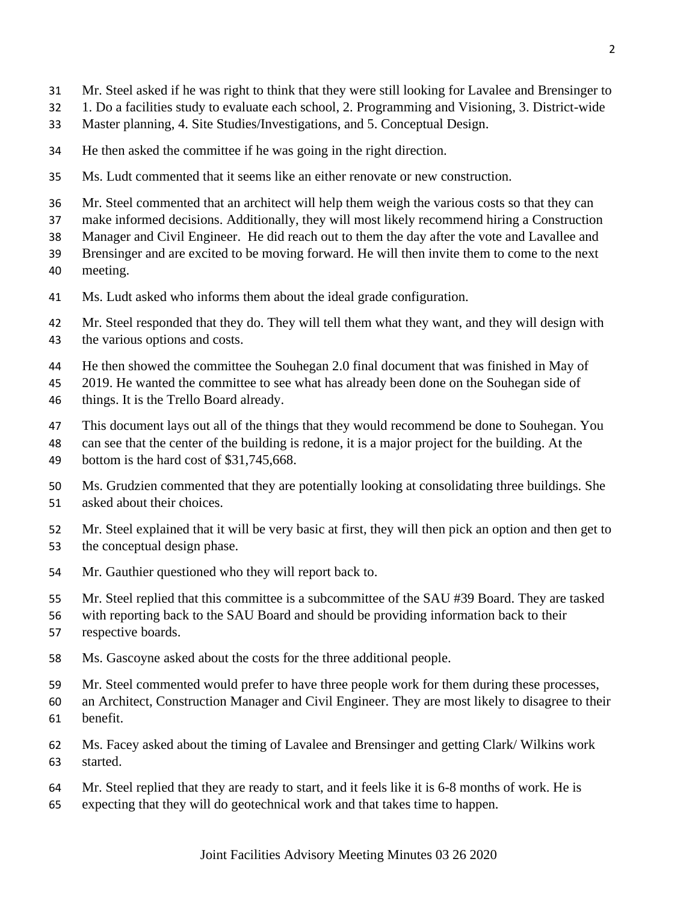- Mr. Steel asked if he was right to think that they were still looking for Lavalee and Brensinger to
- 1. Do a facilities study to evaluate each school, 2. Programming and Visioning, 3. District-wide
- Master planning, 4. Site Studies/Investigations, and 5. Conceptual Design.
- He then asked the committee if he was going in the right direction.
- Ms. Ludt commented that it seems like an either renovate or new construction.
- Mr. Steel commented that an architect will help them weigh the various costs so that they can
- make informed decisions. Additionally, they will most likely recommend hiring a Construction
- Manager and Civil Engineer. He did reach out to them the day after the vote and Lavallee and
- Brensinger and are excited to be moving forward. He will then invite them to come to the next
- meeting.
- Ms. Ludt asked who informs them about the ideal grade configuration.
- Mr. Steel responded that they do. They will tell them what they want, and they will design with the various options and costs.
- He then showed the committee the Souhegan 2.0 final document that was finished in May of
- 2019. He wanted the committee to see what has already been done on the Souhegan side of
- things. It is the Trello Board already.
- This document lays out all of the things that they would recommend be done to Souhegan. You
- can see that the center of the building is redone, it is a major project for the building. At the 49 bottom is the hard cost of \$31,745,668.
- Ms. Grudzien commented that they are potentially looking at consolidating three buildings. She asked about their choices.
- Mr. Steel explained that it will be very basic at first, they will then pick an option and then get to the conceptual design phase.
- Mr. Gauthier questioned who they will report back to.
- Mr. Steel replied that this committee is a subcommittee of the SAU #39 Board. They are tasked
- with reporting back to the SAU Board and should be providing information back to their
- respective boards.
- Ms. Gascoyne asked about the costs for the three additional people.
- Mr. Steel commented would prefer to have three people work for them during these processes,
- an Architect, Construction Manager and Civil Engineer. They are most likely to disagree to their benefit.
- Ms. Facey asked about the timing of Lavalee and Brensinger and getting Clark/ Wilkins work started.
- Mr. Steel replied that they are ready to start, and it feels like it is 6-8 months of work. He is
- expecting that they will do geotechnical work and that takes time to happen.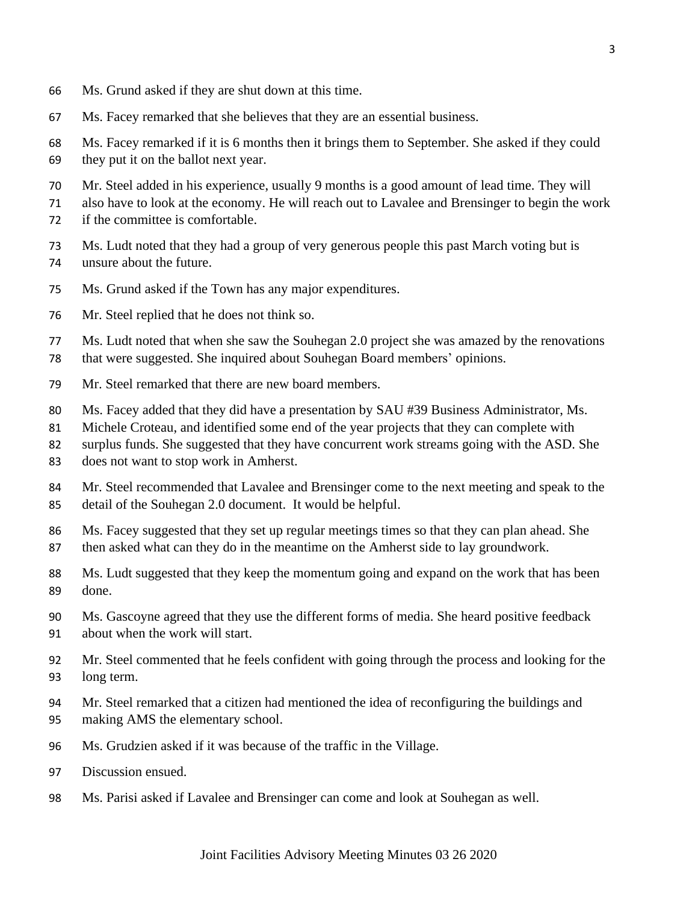- Ms. Grund asked if they are shut down at this time.
- Ms. Facey remarked that she believes that they are an essential business.
- Ms. Facey remarked if it is 6 months then it brings them to September. She asked if they could they put it on the ballot next year.
- Mr. Steel added in his experience, usually 9 months is a good amount of lead time. They will
- also have to look at the economy. He will reach out to Lavalee and Brensinger to begin the work if the committee is comfortable.
- Ms. Ludt noted that they had a group of very generous people this past March voting but is unsure about the future.
- Ms. Grund asked if the Town has any major expenditures.
- Mr. Steel replied that he does not think so.
- Ms. Ludt noted that when she saw the Souhegan 2.0 project she was amazed by the renovations
- that were suggested. She inquired about Souhegan Board members' opinions.
- Mr. Steel remarked that there are new board members.
- Ms. Facey added that they did have a presentation by SAU #39 Business Administrator, Ms.
- Michele Croteau, and identified some end of the year projects that they can complete with
- surplus funds. She suggested that they have concurrent work streams going with the ASD. She
- does not want to stop work in Amherst.
- Mr. Steel recommended that Lavalee and Brensinger come to the next meeting and speak to the detail of the Souhegan 2.0 document. It would be helpful.
- Ms. Facey suggested that they set up regular meetings times so that they can plan ahead. She then asked what can they do in the meantime on the Amherst side to lay groundwork.
- Ms. Ludt suggested that they keep the momentum going and expand on the work that has been done.
- Ms. Gascoyne agreed that they use the different forms of media. She heard positive feedback about when the work will start.
- Mr. Steel commented that he feels confident with going through the process and looking for the long term.
- Mr. Steel remarked that a citizen had mentioned the idea of reconfiguring the buildings and making AMS the elementary school.
- Ms. Grudzien asked if it was because of the traffic in the Village.
- Discussion ensued.
- Ms. Parisi asked if Lavalee and Brensinger can come and look at Souhegan as well.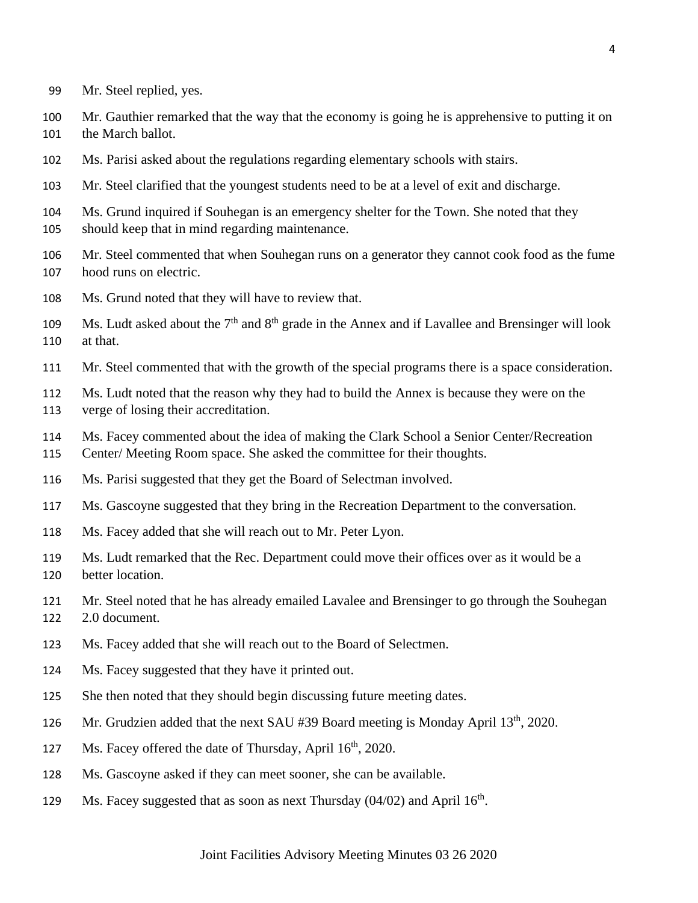- Mr. Steel replied, yes.
- Mr. Gauthier remarked that the way that the economy is going he is apprehensive to putting it on the March ballot.
- Ms. Parisi asked about the regulations regarding elementary schools with stairs.
- Mr. Steel clarified that the youngest students need to be at a level of exit and discharge.
- Ms. Grund inquired if Souhegan is an emergency shelter for the Town. She noted that they should keep that in mind regarding maintenance.
- Mr. Steel commented that when Souhegan runs on a generator they cannot cook food as the fume hood runs on electric.
- Ms. Grund noted that they will have to review that.
- 109 Ms. Ludt asked about the  $7<sup>th</sup>$  and  $8<sup>th</sup>$  grade in the Annex and if Lavallee and Brensinger will look at that.
- Mr. Steel commented that with the growth of the special programs there is a space consideration.
- Ms. Ludt noted that the reason why they had to build the Annex is because they were on the verge of losing their accreditation.
- Ms. Facey commented about the idea of making the Clark School a Senior Center/Recreation
- Center/ Meeting Room space. She asked the committee for their thoughts.
- Ms. Parisi suggested that they get the Board of Selectman involved.
- Ms. Gascoyne suggested that they bring in the Recreation Department to the conversation.
- Ms. Facey added that she will reach out to Mr. Peter Lyon.
- Ms. Ludt remarked that the Rec. Department could move their offices over as it would be a better location.
- Mr. Steel noted that he has already emailed Lavalee and Brensinger to go through the Souhegan 2.0 document.
- Ms. Facey added that she will reach out to the Board of Selectmen.
- Ms. Facey suggested that they have it printed out.
- 125 She then noted that they should begin discussing future meeting dates.
- 126 Mr. Grudzien added that the next SAU #39 Board meeting is Monday April  $13<sup>th</sup>$ , 2020.
- 127 Ms. Facey offered the date of Thursday, April  $16<sup>th</sup>$ , 2020.
- Ms. Gascoyne asked if they can meet sooner, she can be available.
- 129 Ms. Facey suggested that as soon as next Thursday  $(04/02)$  and April  $16<sup>th</sup>$ .